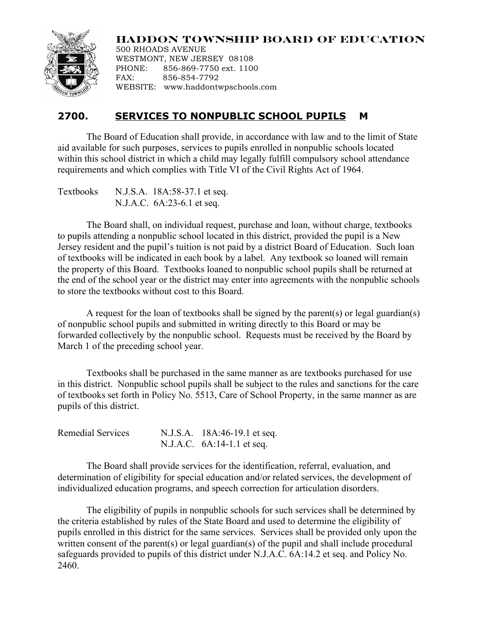## **HADDON TOWNSHIP BOARD OF EDUCATION**



500 RHOADS AVENUE WESTMONT, NEW JERSEY 08108 PHONE: 856-869-7750 ext. 1100 FAX: 856-854-7792 WEBSITE: www.haddontwpschools.com

## **2700. SERVICES TO NONPUBLIC SCHOOL PUPILS M**

The Board of Education shall provide, in accordance with law and to the limit of State aid available for such purposes, services to pupils enrolled in nonpublic schools located within this school district in which a child may legally fulfill compulsory school attendance requirements and which complies with Title VI of the Civil Rights Act of 1964.

Textbooks N.J.S.A. 18A:58-37.1 et seq. N.J.A.C. 6A:23-6.1 et seq.

The Board shall, on individual request, purchase and loan, without charge, textbooks to pupils attending a nonpublic school located in this district, provided the pupil is a New Jersey resident and the pupil's tuition is not paid by a district Board of Education. Such loan of textbooks will be indicated in each book by a label. Any textbook so loaned will remain the property of this Board. Textbooks loaned to nonpublic school pupils shall be returned at the end of the school year or the district may enter into agreements with the nonpublic schools to store the textbooks without cost to this Board.

A request for the loan of textbooks shall be signed by the parent(s) or legal guardian(s) of nonpublic school pupils and submitted in writing directly to this Board or may be forwarded collectively by the nonpublic school. Requests must be received by the Board by March 1 of the preceding school year.

Textbooks shall be purchased in the same manner as are textbooks purchased for use in this district. Nonpublic school pupils shall be subject to the rules and sanctions for the care of textbooks set forth in Policy No. 5513, Care of School Property, in the same manner as are pupils of this district.

| Remedial Services | N.J.S.A. 18A:46-19.1 et seq. |
|-------------------|------------------------------|
|                   | N.J.A.C. $6A:14-1.1$ et seq. |

The Board shall provide services for the identification, referral, evaluation, and determination of eligibility for special education and/or related services, the development of individualized education programs, and speech correction for articulation disorders.

The eligibility of pupils in nonpublic schools for such services shall be determined by the criteria established by rules of the State Board and used to determine the eligibility of pupils enrolled in this district for the same services. Services shall be provided only upon the written consent of the parent(s) or legal guardian(s) of the pupil and shall include procedural safeguards provided to pupils of this district under N.J.A.C. 6A:14.2 et seq. and Policy No. 2460.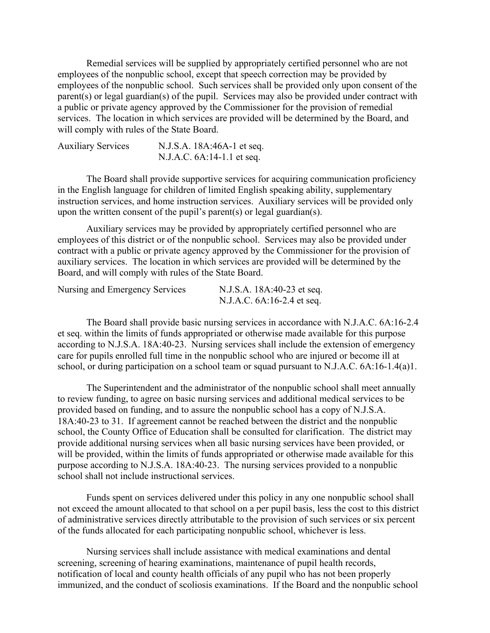Remedial services will be supplied by appropriately certified personnel who are not employees of the nonpublic school, except that speech correction may be provided by employees of the nonpublic school. Such services shall be provided only upon consent of the parent(s) or legal guardian(s) of the pupil. Services may also be provided under contract with a public or private agency approved by the Commissioner for the provision of remedial services. The location in which services are provided will be determined by the Board, and will comply with rules of the State Board.

| <b>Auxiliary Services</b> | N.J.S.A. 18A:46A-1 et seq. |
|---------------------------|----------------------------|
|                           | N.J.A.C. 6A:14-1.1 et seq. |

The Board shall provide supportive services for acquiring communication proficiency in the English language for children of limited English speaking ability, supplementary instruction services, and home instruction services. Auxiliary services will be provided only upon the written consent of the pupil's parent(s) or legal guardian(s).

Auxiliary services may be provided by appropriately certified personnel who are employees of this district or of the nonpublic school. Services may also be provided under contract with a public or private agency approved by the Commissioner for the provision of auxiliary services. The location in which services are provided will be determined by the Board, and will comply with rules of the State Board.

| Nursing and Emergency Services | N.J.S.A. 18A:40-23 et seq. |
|--------------------------------|----------------------------|
|                                | N.J.A.C. 6A:16-2.4 et seq. |

The Board shall provide basic nursing services in accordance with N.J.A.C. 6A:16-2.4 et seq. within the limits of funds appropriated or otherwise made available for this purpose according to N.J.S.A. 18A:40-23. Nursing services shall include the extension of emergency care for pupils enrolled full time in the nonpublic school who are injured or become ill at school, or during participation on a school team or squad pursuant to N.J.A.C. 6A:16-1.4(a)1.

The Superintendent and the administrator of the nonpublic school shall meet annually to review funding, to agree on basic nursing services and additional medical services to be provided based on funding, and to assure the nonpublic school has a copy of N.J.S.A. 18A:40-23 to 31. If agreement cannot be reached between the district and the nonpublic school, the County Office of Education shall be consulted for clarification. The district may provide additional nursing services when all basic nursing services have been provided, or will be provided, within the limits of funds appropriated or otherwise made available for this purpose according to N.J.S.A. 18A:40-23. The nursing services provided to a nonpublic school shall not include instructional services.

Funds spent on services delivered under this policy in any one nonpublic school shall not exceed the amount allocated to that school on a per pupil basis, less the cost to this district of administrative services directly attributable to the provision of such services or six percent of the funds allocated for each participating nonpublic school, whichever is less.

Nursing services shall include assistance with medical examinations and dental screening, screening of hearing examinations, maintenance of pupil health records, notification of local and county health officials of any pupil who has not been properly immunized, and the conduct of scoliosis examinations. If the Board and the nonpublic school